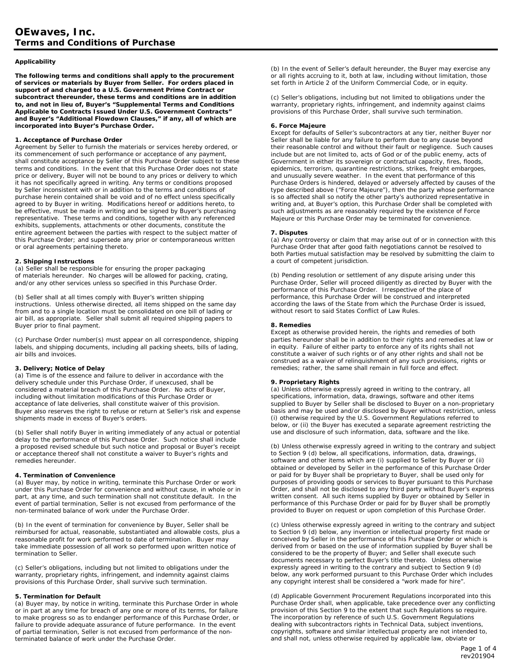## **Applicability**

**The following terms and conditions shall apply to the procurement of services or materials by Buyer from Seller. For orders placed in support of and charged to a U.S. Government Prime Contract or subcontract thereunder, these terms and conditions are in addition to, and not in lieu of, Buyer's "Supplemental Terms and Conditions Applicable to Contracts Issued Under U.S. Government Contracts" and Buyer's "Additional Flowdown Clauses," if any, all of which are incorporated into Buyer's Purchase Order.** 

# **1. Acceptance of Purchase Order**

Agreement by Seller to furnish the materials or services hereby ordered, or its commencement of such performance or acceptance of any payment, shall constitute acceptance by Seller of this Purchase Order subject to these terms and conditions. In the event that this Purchase Order does not state price or delivery, Buyer will not be bound to any prices or delivery to which it has not specifically agreed in writing. Any terms or conditions proposed by Seller inconsistent with or in addition to the terms and conditions of purchase herein contained shall be void and of no effect unless specifically agreed to by Buyer in writing. Modifications hereof or additions hereto, to be effective, must be made in writing and be signed by Buyer's purchasing representative. These terms and conditions, together with any referenced exhibits, supplements, attachments or other documents, constitute the entire agreement between the parties with respect to the subject matter of this Purchase Order; and supersede any prior or contemporaneous written or oral agreements pertaining thereto.

# **2. Shipping Instructions**

(a) Seller shall be responsible for ensuring the proper packaging of materials hereunder. No charges will be allowed for packing, crating, and/or any other services unless so specified in this Purchase Order.

(b) Seller shall at all times comply with Buyer's written shipping instructions. Unless otherwise directed, all items shipped on the same day from and to a single location must be consolidated on one bill of lading or air bill, as appropriate. Seller shall submit all required shipping papers to Buyer prior to final payment.

(c) Purchase Order number(s) must appear on all correspondence, shipping labels, and shipping documents, including all packing sheets, bills of lading, air bills and invoices.

#### **3. Delivery; Notice of Delay**

(a) Time is of the essence and failure to deliver in accordance with the delivery schedule under this Purchase Order, if unexcused, shall be considered a material breach of this Purchase Order. No acts of Buyer, including without limitation modifications of this Purchase Order or acceptance of late deliveries, shall constitute waiver of this provision. Buyer also reserves the right to refuse or return at Seller's risk and expense shipments made in excess of Buyer's orders.

(b) Seller shall notify Buyer in writing immediately of any actual or potential delay to the performance of this Purchase Order. Such notice shall include a proposed revised schedule but such notice and proposal or Buyer's receipt or acceptance thereof shall not constitute a waiver to Buyer's rights and remedies hereunder.

#### **4. Termination of Convenience**

(a) Buyer may, by notice in writing, terminate this Purchase Order or work under this Purchase Order for convenience and without cause, in whole or in part, at any time, and such termination shall not constitute default. In the event of partial termination, Seller is not excused from performance of the non-terminated balance of work under the Purchase Order.

(b) In the event of termination for convenience by Buyer, Seller shall be reimbursed for actual, reasonable, substantiated and allowable costs, plus a reasonable profit for work performed to date of termination. Buyer may take immediate possession of all work so performed upon written notice of termination to Seller.

(c) Seller's obligations, including but not limited to obligations under the warranty, proprietary rights, infringement, and indemnity against claims provisions of this Purchase Order, shall survive such termination.

#### **5. Termination for Default**

(a) Buyer may, by notice in writing, terminate this Purchase Order in whole or in part at any time for breach of any one or more of its terms, for failure to make progress so as to endanger performance of this Purchase Order, or failure to provide adequate assurance of future performance. In the event of partial termination, Seller is not excused from performance of the nonterminated balance of work under the Purchase Order.

(b) In the event of Seller's default hereunder, the Buyer may exercise any or all rights accruing to it, both at law, including without limitation, those set forth in Article 2 of the Uniform Commercial Code, or in equity.

(c) Seller's obligations, including but not limited to obligations under the warranty, proprietary rights, infringement, and indemnity against claims provisions of this Purchase Order, shall survive such termination.

#### **6. Force Majeure**

Except for defaults of Seller's subcontractors at any tier, neither Buyer nor Seller shall be liable for any failure to perform due to any cause beyond their reasonable control and without their fault or negligence. Such causes include but are not limited to, acts of God or of the public enemy, acts of Government in either its sovereign or contractual capacity, fires, floods, epidemics, terrorism, quarantine restrictions, strikes, freight embargoes, and unusually severe weather. In the event that performance of this Purchase Orders is hindered, delayed or adversely affected by causes of the type described above ("Force Majeure"), then the party whose performance is so affected shall so notify the other party's authorized representative in writing and, at Buyer's option, this Purchase Order shall be completed with such adjustments as are reasonably required by the existence of Force Majeure or this Purchase Order may be terminated for convenience.

#### **7. Disputes**

(a) Any controversy or claim that may arise out of or in connection with this Purchase Order that after good faith negotiations cannot be resolved to both Parties mutual satisfaction may be resolved by submitting the claim to a court of competent jurisdiction.

(b) Pending resolution or settlement of any dispute arising under this Purchase Order, Seller will proceed diligently as directed by Buyer with the performance of this Purchase Order. Irrespective of the place of performance, this Purchase Order will be construed and interpreted according the laws of the State from which the Purchase Order is issued, without resort to said States Conflict of Law Rules.

#### **8. Remedies**

Except as otherwise provided herein, the rights and remedies of both parties hereunder shall be in addition to their rights and remedies at law or in equity. Failure of either party to enforce any of its rights shall not constitute a waiver of such rights or of any other rights and shall not be construed as a waiver of relinquishment of any such provisions, rights or remedies; rather, the same shall remain in full force and effect.

#### **9. Proprietary Rights**

(a) Unless otherwise expressly agreed in writing to the contrary, all specifications, information, data, drawings, software and other items supplied to Buyer by Seller shall be disclosed to Buyer on a non-proprietary basis and may be used and/or disclosed by Buyer without restriction, unless (i) otherwise required by the U.S. Government Regulations referred to below, or (ii) the Buyer has executed a separate agreement restricting the use and disclosure of such information, data, software and the like.

(b) Unless otherwise expressly agreed in writing to the contrary and subject to Section 9 (d) below, all specifications, information, data, drawings, software and other items which are (i) supplied to Seller by Buyer or (ii) obtained or developed by Seller in the performance of this Purchase Order or paid for by Buyer shall be proprietary to Buyer, shall be used only for purposes of providing goods or services to Buyer pursuant to this Purchase Order, and shall not be disclosed to any third party without Buyer's express written consent. All such items supplied by Buyer or obtained by Seller in performance of this Purchase Order or paid for by Buyer shall be promptly provided to Buyer on request or upon completion of this Purchase Order.

(c) Unless otherwise expressly agreed in writing to the contrary and subject to Section 9 (d) below, any invention or intellectual property first made or conceived by Seller in the performance of this Purchase Order or which is derived from or based on the use of information supplied by Buyer shall be considered to be the property of Buyer; and Seller shall execute such documents necessary to perfect Buyer's title thereto. Unless otherwise expressly agreed in writing to the contrary and subject to Section 9 (d) below, any work performed pursuant to this Purchase Order which includes any copyright interest shall be considered a "work made for hire".

(d) Applicable Government Procurement Regulations incorporated into this Purchase Order shall, when applicable, take precedence over any conflicting provision of this Section 9 to the extent that such Regulations so require. The incorporation by reference of such U.S. Government Regulations dealing with subcontractors rights in Technical Data, subject inventions, copyrights, software and similar intellectual property are not intended to, and shall not, unless otherwise required by applicable law, obviate or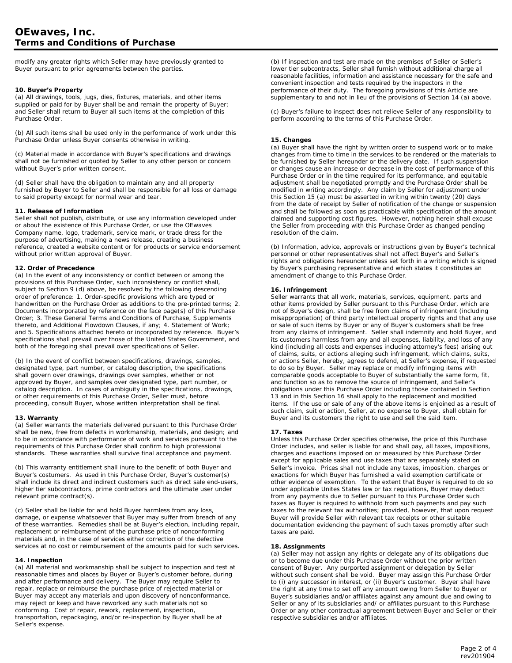modify any greater rights which Seller may have previously granted to Buyer pursuant to prior agreements between the parties.

# **10. Buyer's Property**

(a) All drawings, tools, jugs, dies, fixtures, materials, and other items supplied or paid for by Buyer shall be and remain the property of Buyer; and Seller shall return to Buyer all such items at the completion of this Purchase Order.

(b) All such items shall be used only in the performance of work under this Purchase Order unless Buyer consents otherwise in writing.

(c) Material made in accordance with Buyer's specifications and drawings shall not be furnished or quoted by Seller to any other person or concern without Buyer's prior written consent.

(d) Seller shall have the obligation to maintain any and all property furnished by Buyer to Seller and shall be responsible for all loss or damage to said property except for normal wear and tear.

## **11. Release of Information**

Seller shall not publish, distribute, or use any information developed under or about the existence of this Purchase Order, or use the OEwaves Company name, logo, trademark, service mark, or trade dress for the purpose of advertising, making a news release, creating a business reference, created a website content or for products or service endorsement without prior written approval of Buyer.

# **12. Order of Precedence**

(a) In the event of any inconsistency or conflict between or among the provisions of this Purchase Order, such inconsistency or conflict shall, subject to Section 9 (d) above, be resolved by the following descending order of preference: 1. Order-specific provisions which are typed or handwritten on the Purchase Order as additions to the pre-printed terms; 2. Documents incorporated by reference on the face page(s) of this Purchase Order; 3. These General Terms and Conditions of Purchase, Supplements thereto, and Additional Flowdown Clauses, if any; 4. Statement of Work; and 5. Specifications attached hereto or incorporated by reference. Buyer's specifications shall prevail over those of the United States Government, and both of the foregoing shall prevail over specifications of Seller.

(b) In the event of conflict between specifications, drawings, samples, designated type, part number, or catalog description, the specifications shall govern over drawings, drawings over samples, whether or not approved by Buyer, and samples over designated type, part number, or catalog description. In cases of ambiguity in the specifications, drawings, or other requirements of this Purchase Order, Seller must, before proceeding, consult Buyer, whose written interpretation shall be final.

# **13. Warranty**

(a) Seller warrants the materials delivered pursuant to this Purchase Order shall be new, free from defects in workmanship, materials, and design; and to be in accordance with performance of work and services pursuant to the requirements of this Purchase Order shall confirm to high professional standards. These warranties shall survive final acceptance and payment.

(b) This warranty entitlement shall inure to the benefit of both Buyer and Buyer's costumers. As used in this Purchase Order, Buyer's customer(s) shall include its direct and indirect customers such as direct sale end-users, higher tier subcontractors, prime contractors and the ultimate user under relevant prime contract(s).

(c) Seller shall be liable for and hold Buyer harmless from any loss, damage, or expense whatsoever that Buyer may suffer from breach of any of these warranties. Remedies shall be at Buyer's election, including repair, replacement or reimbursement of the purchase price of nonconforming materials and, in the case of services either correction of the defective services at no cost or reimbursement of the amounts paid for such services.

## **14. Inspection**

(a) All material and workmanship shall be subject to inspection and test at reasonable times and places by Buyer or Buyer's customer before, during and after performance and delivery. The Buyer may require Seller to repair, replace or reimburse the purchase price of rejected material or Buyer may accept any materials and upon discovery of nonconformance, may reject or keep and have reworked any such materials not so conforming. Cost of repair, rework, replacement, inspection, transportation, repackaging, and/or re-inspection by Buyer shall be at Seller's expense.

(b) If inspection and test are made on the premises of Seller or Seller's lower tier subcontracts, Seller shall furnish without additional charge all reasonable facilities, information and assistance necessary for the safe and convenient inspection and tests required by the inspectors in the performance of their duty. The foregoing provisions of this Article are supplementary to and not in lieu of the provisions of Section 14 (a) above.

(c) Buyer's failure to inspect does not relieve Seller of any responsibility to perform according to the terms of this Purchase Order.

# **15. Changes**

(a) Buyer shall have the right by written order to suspend work or to make changes from time to time in the services to be rendered or the materials to be furnished by Seller hereunder or the delivery date. If such suspension or changes cause an increase or decrease in the cost of performance of this Purchase Order or in the time required for its performance, and equitable adjustment shall be negotiated promptly and the Purchase Order shall be modified in writing accordingly. Any claim by Seller for adjustment under this Section 15 (a) must be asserted in writing within twenty (20) days from the date of receipt by Seller of notification of the change or suspension and shall be followed as soon as practicable with specification of the amount claimed and supporting cost figures. However, nothing herein shall excuse the Seller from proceeding with this Purchase Order as changed pending resolution of the claim.

(b) Information, advice, approvals or instructions given by Buyer's technical personnel or other representatives shall not affect Buyer's and Seller's rights and obligations hereunder unless set forth in a writing which is signed by Buyer's purchasing representative and which states it constitutes an amendment of change to this Purchase Order.

# **16. Infringement**

Seller warrants that all work, materials, services, equipment, parts and other items provided by Seller pursuant to this Purchase Order, which are not of Buyer's design, shall be free from claims of infringement (including misappropriation) of third party intellectual property rights and that any use or sale of such items by Buyer or any of Buyer's customers shall be free from any claims of infringement. Seller shall indemnify and hold Buyer, and its customers harmless from any and all expenses, liability, and loss of any kind (including all costs and expenses including attorney's fees) arising out of claims, suits, or actions alleging such infringement, which claims, suits, or actions Seller, hereby, agrees to defend, at Seller's expense, if requested to do so by Buyer. Seller may replace or modify infringing items with comparable goods acceptable to Buyer of substantially the same form, fit, and function so as to remove the source of infringement, and Seller's obligations under this Purchase Order including those contained in Section 13 and in this Section 16 shall apply to the replacement and modified items. If the use or sale of any of the above items is enjoined as a result of such claim, suit or action, Seller, at no expense to Buyer, shall obtain for Buyer and its customers the right to use and sell the said item.

## **17. Taxes**

Unless this Purchase Order specifies otherwise, the price of this Purchase Order includes, and seller is liable for and shall pay, all taxes, impositions, charges and exactions imposed on or measured by this Purchase Order except for applicable sales and use taxes that are separately stated on Seller's invoice. Prices shall not include any taxes, imposition, charges or exactions for which Buyer has furnished a valid exemption certificate or other evidence of exemption. To the extent that Buyer is required to do so under applicable Unites States law or tax regulations, Buyer may deduct from any payments due to Seller pursuant to this Purchase Order such taxes as Buyer is required to withhold from such payments and pay such taxes to the relevant tax authorities; provided, however, that upon request Buyer will provide Seller with relevant tax receipts or other suitable documentation evidencing the payment of such taxes promptly after such taxes are paid.

## **18. Assignments**

(a) Seller may not assign any rights or delegate any of its obligations due or to become due under this Purchase Order without the prior written consent of Buyer. Any purported assignment or delegation by Seller without such consent shall be void. Buyer may assign this Purchase Order to (i) any successor in interest, or (ii) Buyer's customer. Buyer shall have the right at any time to set off any amount owing from Seller to Buyer or Buyer's subsidiaries and/or affiliates against any amount due and owing to Seller or any of its subsidiaries and/ or affiliates pursuant to this Purchase Order or any other contractual agreement between Buyer and Seller or their respective subsidiaries and/or affiliates.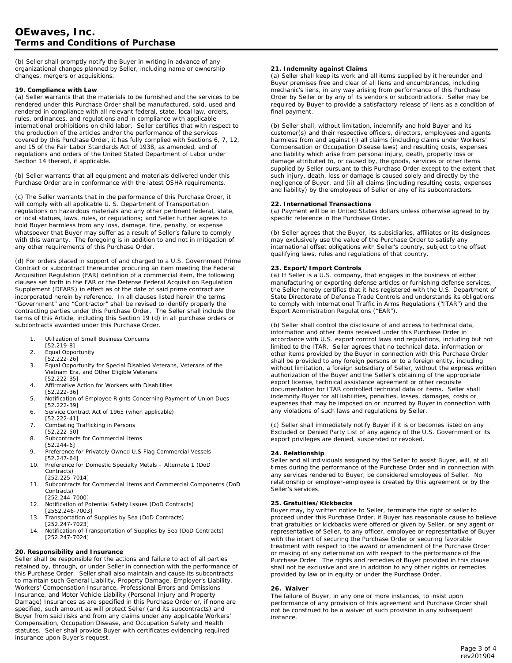(b) Seller shall promptly notify the Buyer in writing in advance of any organizational changes planned by Seller, including name or ownership changes, mergers or acquisitions.

#### **19. Compliance with Law**

(a) Seller warrants that the materials to be furnished and the services to be rendered under this Purchase Order shall be manufactured, sold, used and rendered in compliance with all relevant federal, state, local law, orders, rules, ordinances, and regulations and in compliance with applicable international prohibitions on child labor. Seller certifies that with respect to the production of the articles and/or the performance of the services covered by this Purchase Order, it has fully complied with Sections 6, 7, 12, and 15 of the Fair Labor Standards Act of 1938, as amended, and of regulations and orders of the United Stated Department of Labor under Section 14 thereof, if applicable.

(b) Seller warrants that all equipment and materials delivered under this Purchase Order are in conformance with the latest OSHA requirements.

(c) The Seller warrants that in the performance of this Purchase Order, it will comply with all applicable U. S. Department of Transportation regulations on hazardous materials and any other pertinent federal, state, or local statues, laws, rules, or regulations; and Seller further agrees to hold Buyer harmless from any loss, damage, fine, penalty, or expense whatsoever that Buyer may suffer as a result of Seller's failure to comply with this warranty. The foregoing is in addition to and not in mitigation of any other requirements of this Purchase Order.

(d) For orders placed in support of and charged to a U.S. Government Prime Contract or subcontract thereunder procuring an item meeting the Federal Acquisition Regulation (FAR) definition of a commercial item, the following clauses set forth in the FAR or the Defense Federal Acquisition Regulation Supplement (DFARS) in effect as of the date of said prime contract are incorporated herein by reference. In all clauses listed herein the terms "Government" and "Contractor" shall be revised to identify properly the contracting parties under this Purchase Order. The Seller shall include the terms of this Article, including this Section 19 (d) in all purchase orders or subcontracts awarded under this Purchase Order.

- 1. Utilization of Small Business Concerns
- [52.219-8]
- 2. Equal Opportunity
- [52.222-26]
- 3. Equal Opportunity for Special Disabled Veterans, Veterans of the Vietnam Era, and Other Eligible Veterans
- [52.222-35] 4. Affirmative Action for Workers with Disabilities
- [52.222-36]
- 5. Notification of Employee Rights Concerning Payment of Union Dues [52.222-39]
- 6. Service Contract Act of 1965 (when applicable)
- [52.222-41]
- 7. Combating Trafficking in Persons [52.222-50]
- 8. Subcontracts for Commercial Items
- [52.244-6]
- 9. Preference for Privately Owned U.S Flag Commercial Vessels [52.247-64]
- 10. Preference for Domestic Specialty Metals Alternate 1 (DoD Contracts)
	- [252.225-7014]
- 11. Subcontracts for Commercial Items and Commercial Components (DoD Contracts) [252.244-7000]
- 12. Notification of Potential Safety Issues (DoD Contracts) [2552.246-7003]
- 13. Transportation of Supplies by Sea (DoD Contracts)
- [252.247-7023]
- 14. Notification of Transportation of Supplies by Sea (DoD Contracts) [252.247-7024]

# **20. Responsibility and Insurance**

Seller shall be responsible for the actions and failure to act of all parties retained by, through, or under Seller in connection with the performance of this Purchase Order. Seller shall also maintain and cause its subcontracts to maintain such General Liability, Property Damage, Employer's Liability, Workers' Compensation Insurance, Professional Errors and Omissions Insurance, and Motor Vehicle Liability (Personal Injury and Property Damage) Insurances as are specified in this Purchase Order or, if none are specified, such amount as will protect Seller (and its subcontracts) and Buyer from said risks and from any claims under any applicable Workers' Compensation, Occupation Disease, and Occupation Safety and Health statutes. Seller shall provide Buyer with certificates evidencing required insurance upon Buyer's request.

## **21. Indemnity against Claims**

(a) Seller shall keep its work and all items supplied by it hereunder and Buyer premises free and clear of all liens and encumbrances, including mechanic's liens, in any way arising from performance of this Purchase Order by Seller or by any of its vendors or subcontractors. Seller may be required by Buyer to provide a satisfactory release of liens as a condition of final payment.

(b) Seller shall, without limitation, indemnify and hold Buyer and its customer(s) and their respective officers, directors, employees and agents harmless from and against (i) all claims (including claims under Workers' Compensation or Occupation Disease laws) and resulting costs, expenses and liability which arise from personal injury, death, property loss or damage attributed to, or caused by, the goods, services or other items supplied by Seller pursuant to this Purchase Order except to the extent that such injury, death, loss or damage is caused solely and directly by the negligence of Buyer, and (ii) all claims (including resulting costs, expenses and liability) by the employees of Seller or any of its subcontractors.

# **22. International Transactions**

(a) Payment will be in United States dollars unless otherwise agreed to by specific reference in the Purchase Order.

(b) Seller agrees that the Buyer, its subsidiaries, affiliates or its designees may exclusively use the value of the Purchase Order to satisfy any international offset obligations with Seller's country, subject to the offset qualifying laws, rules and regulations of that country.

## **23. Export/Import Controls**

(a) If Seller is a U.S. company, that engages in the business of either manufacturing or exporting defense articles or furnishing defense services, the Seller hereby certifies that it has registered with the U.S. Department of State Directorate of Defense Trade Controls and understands its obligations to comply with International Traffic in Arms Regulations ("ITAR") and the Export Administration Regulations ("EAR").

(b) Seller shall control the disclosure of and access to technical data, information and other items received under this Purchase Order in accordance with U.S. export control laws and regulations, including but not limited to the ITAR. Seller agrees that no technical data, information or other items provided by the Buyer in connection with this Purchase Order shall be provided to any foreign persons or to a foreign entity, including without limitation, a foreign subsidiary of Seller, without the express written authorization of the Buyer and the Seller's obtaining of the appropriate export license, technical assistance agreement or other requisite documentation for ITAR controlled technical data or items. Seller shall indemnify Buyer for all liabilities, penalties, losses, damages, costs or expenses that may be imposed on or incurred by Buyer in connection with any violations of such laws and regulations by Seller.

(c) Seller shall immediately notify Buyer if it is or becomes listed on any Excluded or Denied Party List of any agency of the U.S. Government or its export privileges are denied, suspended or revoked.

## **24. Relationship**

Seller and all individuals assigned by the Seller to assist Buyer, will, at all times during the performance of the Purchase Order and in connection with any services rendered to Buyer, be considered employees of Seller. No relationship or employer-employee is created by this agreement or by the Seller's services.

## **25. Gratuities/Kickbacks**

Buyer may, by written notice to Seller, terminate the right of seller to proceed under this Purchase Order, if Buyer has reasonable cause to believe that gratuities or kickbacks were offered or given by Seller, or any agent or representative of Seller, to any officer, employee or representative of Buyer with the intent of securing the Purchase Order or securing favorable treatment with respect to the award or amendment of the Purchase Order or making of any determination with respect to the performance of the Purchase Order. The rights and remedies of Buyer provided in this clause shall not be exclusive and are in addition to any other rights or remedies provided by law or in equity or under the Purchase Order.

## **26. Waiver**

The failure of Buyer, in any one or more instances, to insist upon performance of any provision of this agreement and Purchase Order shall not be construed to be a waiver of such provision in any subsequent instance.